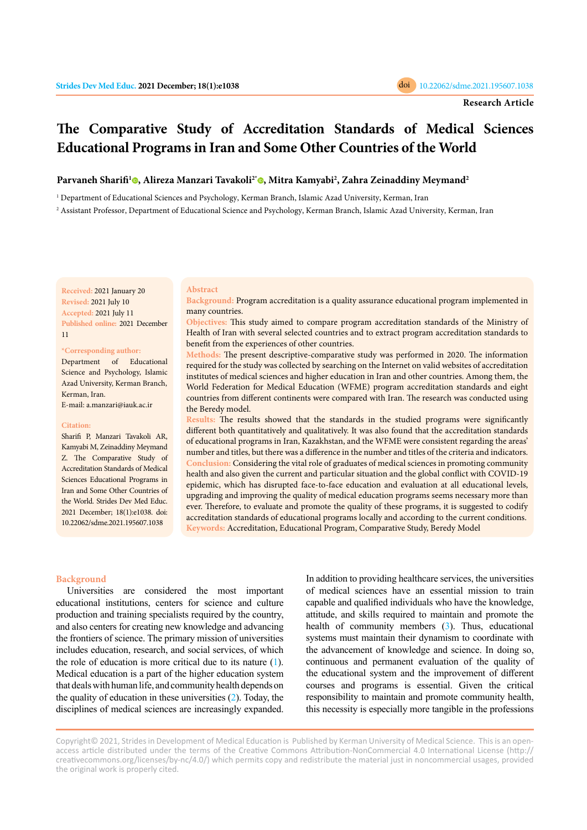# <span id="page-0-0"></span>**The Comparative Study of Accreditation Standards of Medical Sciences Educational Programs in Iran and Some Other Countries of the World**

## **Parvaneh Sharifi1 [,](https://orcid.org/0000-0002-3841-9347) Alireza Manzari Tavakoli2[\\*](https://orcid.org/0000-0002-1573-7748) , Mitra Kamyabi2 , Zahra Zeinaddiny Meymand2**

1 Department of Educational Sciences and Psychology, Kerman Branch, Islamic Azad University, Kerman, Iran

**Abstract**

2 Assistant Professor, Department of Educational Science and Psychology, Kerman Branch, Islamic Azad University, Kerman, Iran

**Received:** 2021 January 20 **Revised:** 2021 July 10 **Accepted:** 2021 July 11 **Published online:** 2021 December 11

### **\*Corresponding author:**

Department of Educational Science and Psychology, Islamic Azad University, Kerman Branch, Kerman, Iran. E-mail: a.manzari@iauk.ac.ir

### **Citation:**

Sharifi P, Manzari Tavakoli AR, Kamyabi M, Zeinaddiny Meymand Z. The Comparative Study of Accreditation Standards of Medical Sciences Educational Programs in Iran and Some Other Countries of the World. Strides Dev Med Educ. 2021 December; 18(1):e1038. doi: 10.22062/sdme.2021.195607.1038

**Background:** Program accreditation is a quality assurance educational program implemented in many countries.

**Objectives:** This study aimed to compare program accreditation standards of the Ministry of Health of Iran with several selected countries and to extract program accreditation standards to benefit from the experiences of other countries.

**Methods:** The present descriptive-comparative study was performed in 2020. The information required for the study was collected by searching on the Internet on valid websites of accreditation institutes of medical sciences and higher education in Iran and other countries. Among them, the World Federation for Medical Education (WFME) program accreditation standards and eight countries from different continents were compared with Iran. The research was conducted using the Beredy model.

**Results:** The results showed that the standards in the studied programs were significantly different both quantitatively and qualitatively. It was also found that the accreditation standards of educational programs in Iran, Kazakhstan, and the WFME were consistent regarding the areas' number and titles, but there was a difference in the number and titles of the criteria and indicators. **Conclusion:** Considering the vital role of graduates of medical sciences in promoting community health and also given the current and particular situation and the global conflict with COVID-19 epidemic, which has disrupted face-to-face education and evaluation at all educational levels, upgrading and improving the quality of medical education programs seems necessary more than ever. Therefore, to evaluate and promote the quality of these programs, it is suggested to codify accreditation standards of educational programs locally and according to the current conditions. **Keywords:** Accreditation, Educational Program, Comparative Study, Beredy Model

#### **Background**

Universities are considered the most important educational institutions, centers for science and culture production and training specialists required by the country, and also centers for creating new knowledge and advancing the frontiers of science. The primary mission of universities includes education, research, and social services, of which the role of education is more critical due to its nature [\(1\)](#page-9-0). Medical education is a part of the higher education system that deals with human life, and community health depends on the quality of education in these universities [\(2](#page-9-0)). Today, the disciplines of medical sciences are increasingly expanded. In addition to providing healthcare services, the universities of medical sciences have an essential mission to train capable and qualified individuals who have the knowledge, attitude, and skills required to maintain and promote the health of community members [\(3](#page-9-0)). Thus, educational systems must maintain their dynamism to coordinate with the advancement of knowledge and science. In doing so, continuous and permanent evaluation of the quality of the educational system and the improvement of different courses and programs is essential. Given the critical responsibility to maintain and promote community health, this necessity is especially more tangible in the professions

Copyright© 2021, Strides in Development of Medical Education is Published by Kerman University of Medical Science. This is an openaccess article distributed under the terms of the Creative Commons Attribution-NonCommercial 4.0 International License (http:// creativecommons.org/licenses/by-nc/4.0/) which permits copy and redistribute the material just in noncommercial usages, provided the original work is properly cited.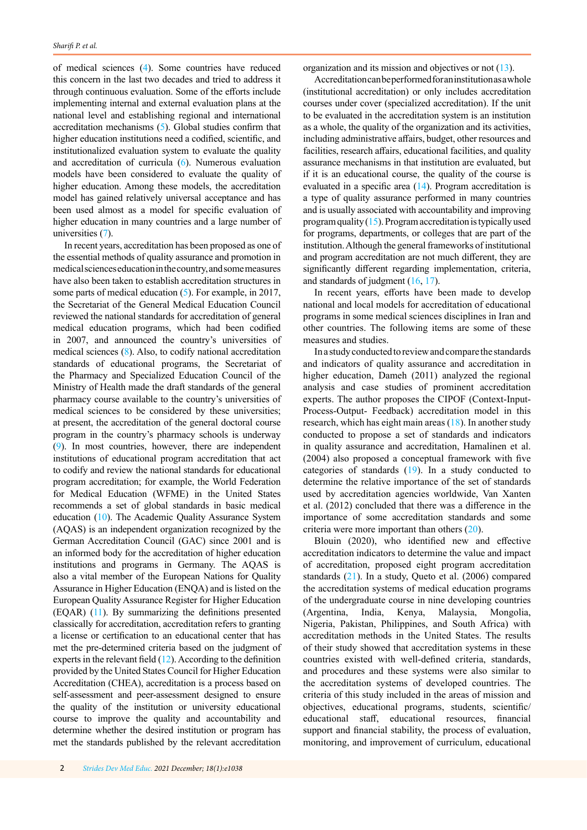of medical sciences [\(4\)](#page-9-0). Some countries have reduced this concern in the last two decades and tried to address it through continuous evaluation. Some of the efforts include implementing internal and external evaluation plans at the national level and establishing regional and international accreditation mechanisms [\(5](#page-9-0)). Global studies confirm that higher education institutions need a codified, scientific, and institutionalized evaluation system to evaluate the quality and accreditation of curricula [\(6](#page-10-0)). Numerous evaluation models have been considered to evaluate the quality of higher education. Among these models, the accreditation model has gained relatively universal acceptance and has been used almost as a model for specific evaluation of higher education in many countries and a large number of universities [\(7](#page-10-0)).

In recent years, accreditation has been proposed as one of the essential methods of quality assurance and promotion in medical sciences education in the country, and some measures have also been taken to establish accreditation structures in some parts of medical education ([5\)](#page-9-0). For example, in 2017, the Secretariat of the General Medical Education Council reviewed the national standards for accreditation of general medical education programs, which had been codified in 2007, and announced the country's universities of medical sciences [\(8\)](#page-10-0). Also, to codify national accreditation standards of educational programs, the Secretariat of the Pharmacy and Specialized Education Council of the Ministry of Health made the draft standards of the general pharmacy course available to the country's universities of medical sciences to be considered by these universities; at present, the accreditation of the general doctoral course program in the country's pharmacy schools is underway [\(9\)](#page-10-0). In most countries, however, there are independent institutions of educational program accreditation that act to codify and review the national standards for educational program accreditation; for example, the World Federation for Medical Education (WFME) in the United States recommends a set of global standards in basic medical education ([10](#page-10-0)). The Academic Quality Assurance System (AQAS) is an independent organization recognized by the German Accreditation Council (GAC) since 2001 and is an informed body for the accreditation of higher education institutions and programs in Germany. The AQAS is also a vital member of the European Nations for Quality Assurance in Higher Education (ENQA) and is listed on the European Quality Assurance Register for Higher Education (EQAR) ([11](#page-10-0)). By summarizing the definitions presented classically for accreditation, accreditation refers to granting a license or certification to an educational center that has met the pre-determined criteria based on the judgment of experts in the relevant field ([12](#page-10-0)). According to the definition provided by the United States Council for Higher Education Accreditation (CHEA), accreditation is a process based on self-assessment and peer-assessment designed to ensure the quality of the institution or university educational course to improve the quality and accountability and determine whether the desired institution or program has met the standards published by the relevant accreditation

organization and its mission and objectives or not ([13](#page-10-0)).

Accreditation can be performed for an institution as a whole (institutional accreditation) or only includes accreditation courses under cover (specialized accreditation). If the unit to be evaluated in the accreditation system is an institution as a whole, the quality of the organization and its activities, including administrative affairs, budget, other resources and facilities, research affairs, educational facilities, and quality assurance mechanisms in that institution are evaluated, but if it is an educational course, the quality of the course is evaluated in a specific area ([14](#page-10-0)). Program accreditation is a type of quality assurance performed in many countries and is usually associated with accountability and improving program quality  $(15)$  $(15)$ . Program accreditation is typically used for programs, departments, or colleges that are part of the institution. Although the general frameworks of institutional and program accreditation are not much different, they are significantly different regarding implementation, criteria, and standards of judgment  $(16, 17)$  $(16, 17)$  $(16, 17)$ .

In recent years, efforts have been made to develop national and local models for accreditation of educational programs in some medical sciences disciplines in Iran and other countries. The following items are some of these measures and studies.

In a study conducted to review and compare the standards and indicators of quality assurance and accreditation in higher education, Dameh (2011) analyzed the regional analysis and case studies of prominent accreditation experts. The author proposes the CIPOF (Context-Input-Process-Output- Feedback) accreditation model in this research, which has eight main areas ([18\)](#page-10-0). In another study conducted to propose a set of standards and indicators in quality assurance and accreditation, Hamalinen et al. (2004) also proposed a conceptual framework with five categories of standards [\(19](#page-10-0)). In a study conducted to determine the relative importance of the set of standards used by accreditation agencies worldwide, Van Xanten et al. (2012) concluded that there was a difference in the importance of some accreditation standards and some criteria were more important than others ([20\)](#page-10-0).

Blouin (2020), who identified new and effective accreditation indicators to determine the value and impact of accreditation, proposed eight program accreditation standards [\(21](#page-10-0)). In a study, Queto et al. (2006) compared the accreditation systems of medical education programs of the undergraduate course in nine developing countries (Argentina, India, Kenya, Malaysia, Mongolia, Nigeria, Pakistan, Philippines, and South Africa) with accreditation methods in the United States. The results of their study showed that accreditation systems in these countries existed with well-defined criteria, standards, and procedures and these systems were also similar to the accreditation systems of developed countries. The criteria of this study included in the areas of mission and objectives, educational programs, students, scientific/ educational staff, educational resources, financial support and financial stability, the process of evaluation, monitoring, and improvement of curriculum, educational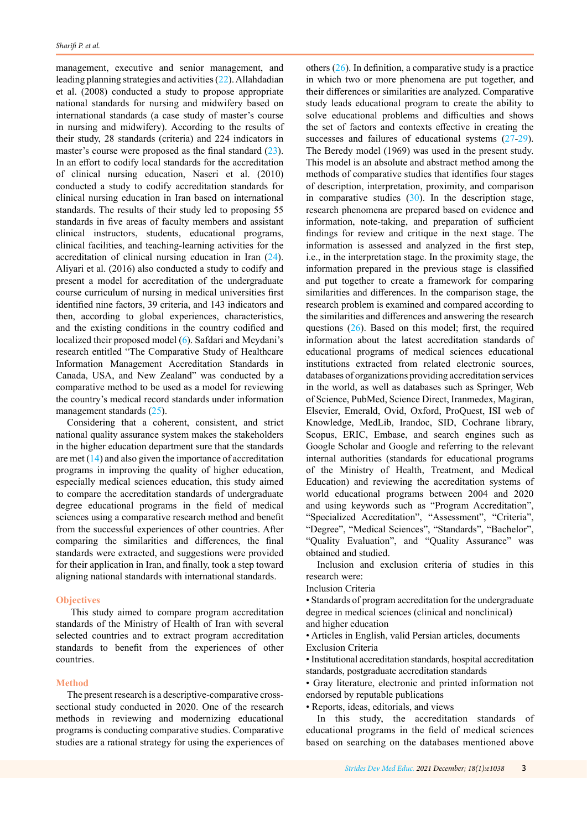management, executive and senior management, and leading planning strategies and activities ([22\)](#page-0-0). Allahdadian et al. (2008) conducted a study to propose appropriate national standards for nursing and midwifery based on international standards (a case study of master's course in nursing and midwifery). According to the results of their study, 28 standards (criteria) and 224 indicators in master's course were proposed as the final standard ([23\)](#page-10-0). In an effort to codify local standards for the accreditation of clinical nursing education, Naseri et al. (2010) conducted a study to codify accreditation standards for clinical nursing education in Iran based on international standards. The results of their study led to proposing 55 standards in five areas of faculty members and assistant clinical instructors, students, educational programs, clinical facilities, and teaching-learning activities for the accreditation of clinical nursing education in Iran ([24\)](#page-10-0). Aliyari et al. (2016) also conducted a study to codify and present a model for accreditation of the undergraduate course curriculum of nursing in medical universities first identified nine factors, 39 criteria, and 143 indicators and then, according to global experiences, characteristics, and the existing conditions in the country codified and localized their proposed model ([6\)](#page-0-0). Safdari and Meydani's research entitled "The Comparative Study of Healthcare Information Management Accreditation Standards in Canada, USA, and New Zealand" was conducted by a comparative method to be used as a model for reviewing the country's medical record standards under information management standards ([25\)](#page-10-0).

Considering that a coherent, consistent, and strict national quality assurance system makes the stakeholders in the higher education department sure that the standards are met [\(14](#page-10-0)) and also given the importance of accreditation programs in improving the quality of higher education, especially medical sciences education, this study aimed to compare the accreditation standards of undergraduate degree educational programs in the field of medical sciences using a comparative research method and benefit from the successful experiences of other countries. After comparing the similarities and differences, the final standards were extracted, and suggestions were provided for their application in Iran, and finally, took a step toward aligning national standards with international standards.

### **Objectives**

 This study aimed to compare program accreditation standards of the Ministry of Health of Iran with several selected countries and to extract program accreditation standards to benefit from the experiences of other countries.

### **Method**

The present research is a descriptive-comparative crosssectional study conducted in 2020. One of the research methods in reviewing and modernizing educational programs is conducting comparative studies. Comparative studies are a rational strategy for using the experiences of others  $(26)$  $(26)$ . In definition, a comparative study is a practice in which two or more phenomena are put together, and their differences or similarities are analyzed. Comparative study leads educational program to create the ability to solve educational problems and difficulties and shows the set of factors and contexts effective in creating the successes and failures of educational systems  $(27-29)$  $(27-29)$  $(27-29)$ . The Beredy model (1969) was used in the present study. This model is an absolute and abstract method among the methods of comparative studies that identifies four stages of description, interpretation, proximity, and comparison in comparative studies  $(30)$  $(30)$ . In the description stage, research phenomena are prepared based on evidence and information, note-taking, and preparation of sufficient findings for review and critique in the next stage. The information is assessed and analyzed in the first step, i.e., in the interpretation stage. In the proximity stage, the information prepared in the previous stage is classified and put together to create a framework for comparing similarities and differences. In the comparison stage, the research problem is examined and compared according to the similarities and differences and answering the research questions ([26](#page-10-0)). Based on this model; first, the required information about the latest accreditation standards of educational programs of medical sciences educational institutions extracted from related electronic sources, databases of organizations providing accreditation services in the world, as well as databases such as Springer, Web of Science, PubMed, Science Direct, Iranmedex, Magiran, Elsevier, Emerald, Ovid, Oxford, ProQuest, ISI web of Knowledge, MedLib, Irandoc, SID, Cochrane library, Scopus, ERIC, Embase, and search engines such as Google Scholar and Google and referring to the relevant internal authorities (standards for educational programs of the Ministry of Health, Treatment, and Medical Education) and reviewing the accreditation systems of world educational programs between 2004 and 2020 and using keywords such as "Program Accreditation", "Specialized Accreditation", "Assessment", "Criteria", "Degree", "Medical Sciences", "Standards", "Bachelor", "Quality Evaluation", and "Quality Assurance" was obtained and studied.

Inclusion and exclusion criteria of studies in this research were:

Inclusion Criteria

• Standards of program accreditation for the undergraduate degree in medical sciences (clinical and nonclinical) and higher education

• Articles in English, valid Persian articles, documents Exclusion Criteria

• Institutional accreditation standards, hospital accreditation standards, postgraduate accreditation standards

• Gray literature, electronic and printed information not endorsed by reputable publications

• Reports, ideas, editorials, and views

In this study, the accreditation standards of educational programs in the field of medical sciences based on searching on the databases mentioned above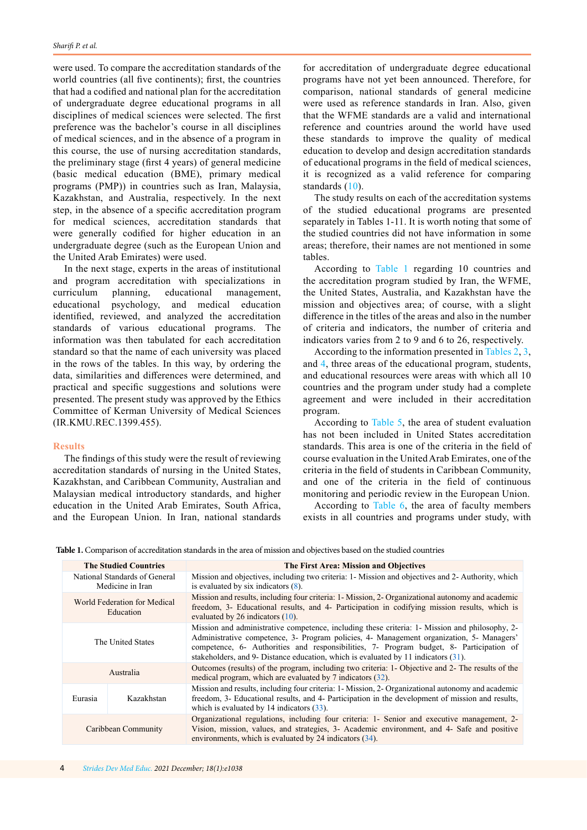were used. To compare the accreditation standards of the world countries (all five continents); first, the countries that had a codified and national plan for the accreditation of undergraduate degree educational programs in all disciplines of medical sciences were selected. The first preference was the bachelor's course in all disciplines of medical sciences, and in the absence of a program in this course, the use of nursing accreditation standards, the preliminary stage (first 4 years) of general medicine (basic medical education (BME), primary medical programs (PMP)) in countries such as Iran, Malaysia, Kazakhstan, and Australia, respectively. In the next step, in the absence of a specific accreditation program for medical sciences, accreditation standards that were generally codified for higher education in an undergraduate degree (such as the European Union and the United Arab Emirates) were used.

In the next stage, experts in the areas of institutional and program accreditation with specializations in curriculum planning, educational management, educational psychology, and medical education identified, reviewed, and analyzed the accreditation standards of various educational programs. The information was then tabulated for each accreditation standard so that the name of each university was placed in the rows of the tables. In this way, by ordering the data, similarities and differences were determined, and practical and specific suggestions and solutions were presented. The present study was approved by the Ethics Committee of Kerman University of Medical Sciences (IR.KMU.REC.1399.455).

### **Results**

The findings of this study were the result of reviewing accreditation standards of nursing in the United States, Kazakhstan, and Caribbean Community, Australian and Malaysian medical introductory standards, and higher education in the United Arab Emirates, South Africa, and the European Union. In Iran, national standards

for accreditation of undergraduate degree educational programs have not yet been announced. Therefore, for comparison, national standards of general medicine were used as reference standards in Iran. Also, given that the WFME standards are a valid and international reference and countries around the world have used these standards to improve the quality of medical education to develop and design accreditation standards of educational programs in the field of medical sciences, it is recognized as a valid reference for comparing standards ([10](#page-10-0)).

The study results on each of the accreditation systems of the studied educational programs are presented separately in Tables 1-11. It is worth noting that some of the studied countries did not have information in some areas; therefore, their names are not mentioned in some tables.

According to Table 1 regarding 10 countries and the accreditation program studied by Iran, the WFME, the United States, Australia, and Kazakhstan have the mission and objectives area; of course, with a slight difference in the titles of the areas and also in the number of criteria and indicators, the number of criteria and indicators varies from 2 to 9 and 6 to 26, respectively.

According to the information presented in [Tables 2](#page-4-0), [3](#page-4-0), and [4](#page-5-0), three areas of the educational program, students, and educational resources were areas with which all 10 countries and the program under study had a complete agreement and were included in their accreditation program.

According to [Table 5](#page-5-0), the area of student evaluation has not been included in United States accreditation standards. This area is one of the criteria in the field of course evaluation in the United Arab Emirates, one of the criteria in the field of students in Caribbean Community, and one of the criteria in the field of continuous monitoring and periodic review in the European Union.

According to [Table 6,](#page-6-0) the area of faculty members exists in all countries and programs under study, with

**Table 1.** Comparison of accreditation standards in the area of mission and objectives based on the studied countries

| <b>The Studied Countries</b>                      |            | The First Area: Mission and Objectives                                                                                                                                                                                                                                                                                                                                         |
|---------------------------------------------------|------------|--------------------------------------------------------------------------------------------------------------------------------------------------------------------------------------------------------------------------------------------------------------------------------------------------------------------------------------------------------------------------------|
| National Standards of General<br>Medicine in Iran |            | Mission and objectives, including two criteria: 1 Mission and objectives and 2 Authority, which<br>is evaluated by six indicators $(8)$ .                                                                                                                                                                                                                                      |
| World Federation for Medical<br>Education         |            | Mission and results, including four criteria: 1- Mission, 2- Organizational autonomy and academic<br>freedom, 3- Educational results, and 4- Participation in codifying mission results, which is<br>evaluated by 26 indicators $(10)$ .                                                                                                                                       |
| The United States                                 |            | Mission and administrative competence, including these criteria: 1- Mission and philosophy, 2-<br>Administrative competence, 3- Program policies, 4- Management organization, 5- Managers'<br>competence, 6- Authorities and responsibilities, 7- Program budget, 8- Participation of<br>stakeholders, and 9- Distance education, which is evaluated by 11 indicators $(31)$ . |
| Australia                                         |            | Outcomes (results) of the program, including two criteria: 1- Objective and 2- The results of the<br>medical program, which are evaluated by 7 indicators (32).                                                                                                                                                                                                                |
| Eurasia                                           | Kazakhstan | Mission and results, including four criteria: 1- Mission, 2- Organizational autonomy and academic<br>freedom, 3- Educational results, and 4- Participation in the development of mission and results,<br>which is evaluated by $14$ indicators $(33)$ .                                                                                                                        |
| Caribbean Community                               |            | Organizational regulations, including four criteria: 1- Senior and executive management, 2-<br>Vision, mission, values, and strategies, 3- Academic environment, and 4- Safe and positive<br>environments, which is evaluated by 24 indicators (34).                                                                                                                           |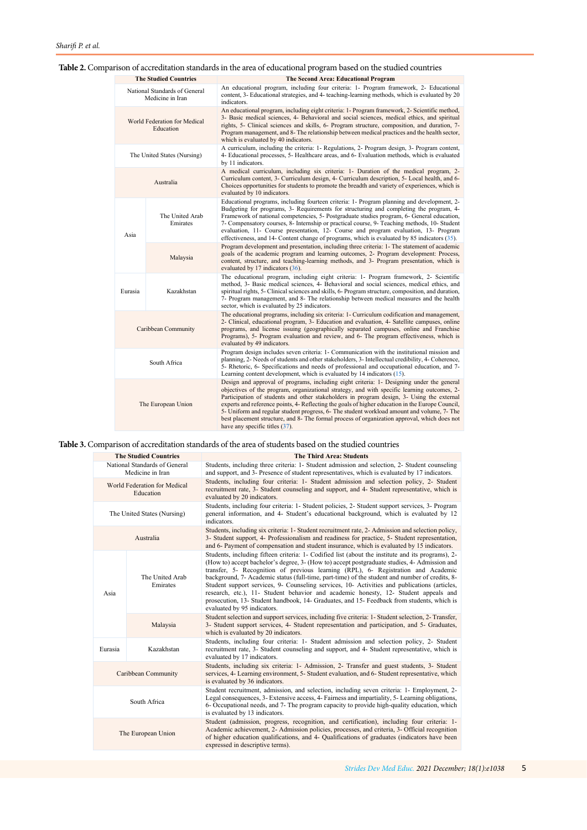# <span id="page-4-0"></span>**Table 2.** Comparison of accreditation standards in the area of educational program based on the studied countries

| <b>The Studied Countries</b>                      |                             | The Second Area: Educational Program                                                                                                                                                                                                                                                                                                                                                                                                                                                                                                                                                                                      |
|---------------------------------------------------|-----------------------------|---------------------------------------------------------------------------------------------------------------------------------------------------------------------------------------------------------------------------------------------------------------------------------------------------------------------------------------------------------------------------------------------------------------------------------------------------------------------------------------------------------------------------------------------------------------------------------------------------------------------------|
| National Standards of General<br>Medicine in Iran |                             | An educational program, including four criteria: 1- Program framework, 2- Educational<br>content, 3- Educational strategies, and 4- teaching-learning methods, which is evaluated by 20<br>indicators.                                                                                                                                                                                                                                                                                                                                                                                                                    |
| World Federation for Medical<br>Education         |                             | An educational program, including eight criteria: 1- Program framework, 2- Scientific method,<br>3- Basic medical sciences, 4- Behavioral and social sciences, medical ethics, and spiritual<br>rights, 5- Clinical sciences and skills, 6- Program structure, composition, and duration, 7-<br>Program management, and 8- The relationship between medical practices and the health sector,<br>which is evaluated by 40 indicators.                                                                                                                                                                                      |
|                                                   | The United States (Nursing) | A curriculum, including the criteria: 1- Regulations, 2- Program design, 3- Program content,<br>4- Educational processes, 5- Healthcare areas, and 6- Evaluation methods, which is evaluated<br>by 11 indicators.                                                                                                                                                                                                                                                                                                                                                                                                         |
|                                                   | Australia                   | A medical curriculum, including six criteria: 1- Duration of the medical program, 2-<br>Curriculum content, 3- Curriculum design, 4- Curriculum description, 5- Local health, and 6-<br>Choices opportunities for students to promote the breadth and variety of experiences, which is<br>evaluated by 10 indicators.                                                                                                                                                                                                                                                                                                     |
| Asia                                              | The United Arab<br>Emirates | Educational programs, including fourteen criteria: 1- Program planning and development, 2-<br>Budgeting for programs, 3- Requirements for structuring and completing the program, 4-<br>Framework of national competencies, 5- Postgraduate studies program, 6- General education,<br>7- Compensatory courses, 8- Internship or practical course, 9- Teaching methods, 10- Student<br>evaluation, 11- Course presentation, 12- Course and program evaluation, 13- Program<br>effectiveness, and 14- Content change of programs, which is evaluated by 85 indicators (35).                                                 |
|                                                   | Malaysia                    | Program development and presentation, including three criteria: 1- The statement of academic<br>goals of the academic program and learning outcomes, 2- Program development: Process,<br>content, structure, and teaching-learning methods, and 3- Program presentation, which is<br>evaluated by 17 indicators (36).                                                                                                                                                                                                                                                                                                     |
| Eurasia                                           | Kazakhstan                  | The educational program, including eight criteria: 1- Program framework, 2- Scientific<br>method, 3- Basic medical sciences, 4- Behavioral and social sciences, medical ethics, and<br>spiritual rights, 5- Clinical sciences and skills, 6- Program structure, composition, and duration,<br>7- Program management, and 8- The relationship between medical measures and the health<br>sector, which is evaluated by 25 indicators.                                                                                                                                                                                      |
| Caribbean Community                               |                             | The educational programs, including six criteria: 1- Curriculum codification and management,<br>2- Clinical, educational program, 3- Education and evaluation, 4- Satellite campuses, online<br>programs, and license issuing (geographically separated campuses, online and Franchise<br>Programs), 5- Program evaluation and review, and 6- The program effectiveness, which is<br>evaluated by 49 indicators.                                                                                                                                                                                                          |
| South Africa                                      |                             | Program design includes seven criteria: 1- Communication with the institutional mission and<br>planning, 2- Needs of students and other stakeholders, 3- Intellectual credibility, 4- Coherence,<br>5- Rhetoric, 6- Specifications and needs of professional and occupational education, and 7-<br>Learning content development, which is evaluated by 14 indicators $(15)$ .                                                                                                                                                                                                                                             |
| The European Union                                |                             | Design and approval of programs, including eight criteria: 1- Designing under the general<br>objectives of the program, organizational strategy, and with specific learning outcomes, 2-<br>Participation of students and other stakeholders in program design, 3- Using the external<br>experts and reference points, 4- Reflecting the goals of higher education in the Europe Council,<br>5- Uniform and regular student progress, 6- The student workload amount and volume, 7- The<br>best placement structure, and 8- The formal process of organization approval, which does not<br>have any specific titles (37). |

# **Table 3.** Comparison of accreditation standards of the area of students based on the studied countries

|                                                   | <b>The Studied Countries</b> | <b>The Third Area: Students</b>                                                                                                                                                                                                                                                                                                                                                                                                                                                                                                                                                                                                                                                                              |
|---------------------------------------------------|------------------------------|--------------------------------------------------------------------------------------------------------------------------------------------------------------------------------------------------------------------------------------------------------------------------------------------------------------------------------------------------------------------------------------------------------------------------------------------------------------------------------------------------------------------------------------------------------------------------------------------------------------------------------------------------------------------------------------------------------------|
| National Standards of General<br>Medicine in Iran |                              | Students, including three criteria: 1- Student admission and selection, 2- Student counseling<br>and support, and 3- Presence of student representatives, which is evaluated by 17 indicators.                                                                                                                                                                                                                                                                                                                                                                                                                                                                                                               |
| World Federation for Medical<br>Education         |                              | Students, including four criteria: 1- Student admission and selection policy, 2- Student<br>recruitment rate, 3- Student counseling and support, and 4- Student representative, which is<br>evaluated by 20 indicators.                                                                                                                                                                                                                                                                                                                                                                                                                                                                                      |
|                                                   | The United States (Nursing)  | Students, including four criteria: 1- Student policies, 2- Student support services, 3- Program<br>general information, and 4- Student's educational background, which is evaluated by 12<br>indicators.                                                                                                                                                                                                                                                                                                                                                                                                                                                                                                     |
|                                                   | Australia                    | Students, including six criteria: 1- Student recruitment rate, 2- Admission and selection policy,<br>3- Student support, 4- Professionalism and readiness for practice, 5- Student representation,<br>and 6- Payment of compensation and student insurance, which is evaluated by 15 indicators.                                                                                                                                                                                                                                                                                                                                                                                                             |
| Asia                                              | The United Arab<br>Emirates  | Students, including fifteen criteria: 1- Codified list (about the institute and its programs), 2-<br>(How to) accept bachelor's degree, 3- (How to) accept postgraduate studies, 4- Admission and<br>transfer, 5- Recognition of previous learning (RPL), 6- Registration and Academic<br>background, 7- Academic status (full-time, part-time) of the student and number of credits, 8-<br>Student support services, 9- Counseling services, 10- Activities and publications (articles,<br>research, etc.), 11- Student behavior and academic honesty, 12- Student appeals and<br>prosecution, 13- Student handbook, 14- Graduates, and 15- Feedback from students, which is<br>evaluated by 95 indicators. |
|                                                   | Malaysia                     | Student selection and support services, including five criteria: 1- Student selection, 2- Transfer,<br>3- Student support services, 4- Student representation and participation, and 5- Graduates,<br>which is evaluated by 20 indicators.                                                                                                                                                                                                                                                                                                                                                                                                                                                                   |
| Eurasia                                           | Kazakhstan                   | Students, including four criteria: 1- Student admission and selection policy, 2- Student<br>recruitment rate, 3- Student counseling and support, and 4- Student representative, which is<br>evaluated by 17 indicators.                                                                                                                                                                                                                                                                                                                                                                                                                                                                                      |
| Caribbean Community                               |                              | Students, including six criteria: 1- Admission, 2- Transfer and guest students, 3- Student<br>services, 4- Learning environment, 5- Student evaluation, and 6- Student representative, which<br>is evaluated by 36 indicators.                                                                                                                                                                                                                                                                                                                                                                                                                                                                               |
| South Africa                                      |                              | Student recruitment, admission, and selection, including seven criteria: 1- Employment, 2-<br>Legal consequences, 3- Extensive access, 4- Fairness and impartiality, 5- Learning obligations,<br>6- Occupational needs, and 7- The program capacity to provide high-quality education, which<br>is evaluated by 13 indicators.                                                                                                                                                                                                                                                                                                                                                                               |
| The European Union                                |                              | Student (admission, progress, recognition, and certification), including four criteria: 1-<br>Academic achievement, 2- Admission policies, processes, and criteria, 3- Official recognition<br>of higher education qualifications, and 4- Qualifications of graduates (indicators have been<br>expressed in descriptive terms).                                                                                                                                                                                                                                                                                                                                                                              |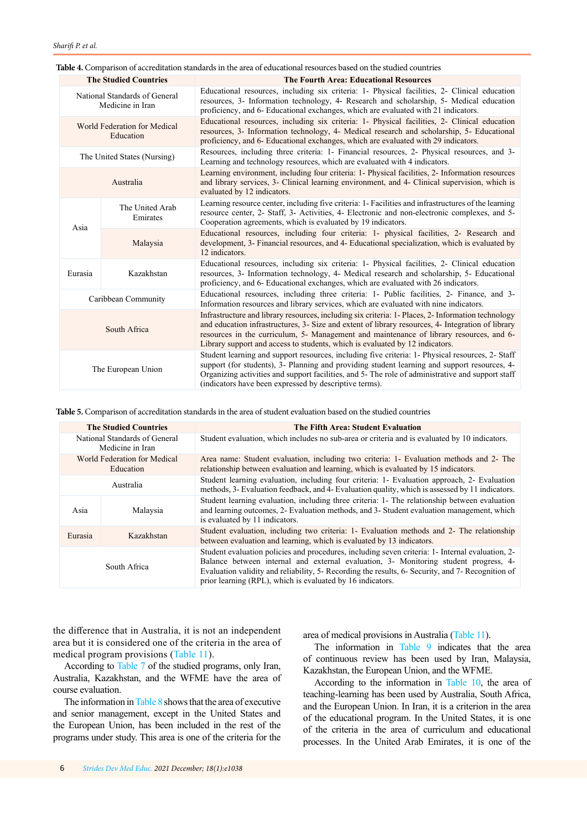<span id="page-5-0"></span>

| Table 4. Comparison of accreditation standards in the area of educational resources based on the studied countries |  |
|--------------------------------------------------------------------------------------------------------------------|--|
|--------------------------------------------------------------------------------------------------------------------|--|

| <b>The Studied Countries</b>                      |                             | <b>The Fourth Area: Educational Resources</b>                                                                                                                                                                                                                                                                                                                                      |
|---------------------------------------------------|-----------------------------|------------------------------------------------------------------------------------------------------------------------------------------------------------------------------------------------------------------------------------------------------------------------------------------------------------------------------------------------------------------------------------|
| National Standards of General<br>Medicine in Iran |                             | Educational resources, including six criteria: 1- Physical facilities, 2- Clinical education<br>resources, 3- Information technology, 4- Research and scholarship, 5- Medical education<br>proficiency, and 6- Educational exchanges, which are evaluated with 21 indicators.                                                                                                      |
| World Federation for Medical<br>Education         |                             | Educational resources, including six criteria: 1- Physical facilities, 2- Clinical education<br>resources, 3- Information technology, 4- Medical research and scholarship, 5- Educational<br>proficiency, and 6- Educational exchanges, which are evaluated with 29 indicators.                                                                                                    |
|                                                   | The United States (Nursing) | Resources, including three criteria: 1- Financial resources, 2- Physical resources, and 3-<br>Learning and technology resources, which are evaluated with 4 indicators.                                                                                                                                                                                                            |
|                                                   | Australia                   | Learning environment, including four criteria: 1- Physical facilities, 2- Information resources<br>and library services, 3- Clinical learning environment, and 4- Clinical supervision, which is<br>evaluated by 12 indicators.                                                                                                                                                    |
| Asia                                              | The United Arab<br>Emirates | Learning resource center, including five criteria: 1- Facilities and infrastructures of the learning<br>resource center, 2- Staff, 3- Activities, 4- Electronic and non-electronic complexes, and 5-<br>Cooperation agreements, which is evaluated by 19 indicators.                                                                                                               |
|                                                   | Malaysia                    | Educational resources, including four criteria: 1- physical facilities, 2- Research and<br>development, 3- Financial resources, and 4- Educational specialization, which is evaluated by<br>12 indicators.                                                                                                                                                                         |
| Eurasia                                           | Kazakhstan                  | Educational resources, including six criteria: 1- Physical facilities, 2- Clinical education<br>resources, 3- Information technology, 4- Medical research and scholarship, 5- Educational<br>proficiency, and 6- Educational exchanges, which are evaluated with 26 indicators.                                                                                                    |
|                                                   | Caribbean Community         | Educational resources, including three criteria: 1- Public facilities, 2- Finance, and 3-<br>Information resources and library services, which are evaluated with nine indicators.                                                                                                                                                                                                 |
| South Africa                                      |                             | Infrastructure and library resources, including six criteria: 1- Places, 2- Information technology<br>and education infrastructures, 3- Size and extent of library resources, 4- Integration of library<br>resources in the curriculum, 5- Management and maintenance of library resources, and 6-<br>Library support and access to students, which is evaluated by 12 indicators. |
| The European Union                                |                             | Student learning and support resources, including five criteria: 1- Physical resources, 2- Staff<br>support (for students), 3- Planning and providing student learning and support resources, 4-<br>Organizing activities and support facilities, and 5- The role of administrative and support staff<br>(indicators have been expressed by descriptive terms).                    |

**Table 5.** Comparison of accreditation standards in the area of student evaluation based on the studied countries

| <b>The Studied Countries</b>                      |            | <b>The Fifth Area: Student Evaluation</b>                                                                                                                                                                                                                                                                                                                   |
|---------------------------------------------------|------------|-------------------------------------------------------------------------------------------------------------------------------------------------------------------------------------------------------------------------------------------------------------------------------------------------------------------------------------------------------------|
| National Standards of General<br>Medicine in Iran |            | Student evaluation, which includes no sub-area or criteria and is evaluated by 10 indicators.                                                                                                                                                                                                                                                               |
| World Federation for Medical<br>Education         |            | Area name: Student evaluation, including two criteria: 1- Evaluation methods and 2- The<br>relationship between evaluation and learning, which is evaluated by 15 indicators.                                                                                                                                                                               |
| Australia                                         |            | Student learning evaluation, including four criteria: 1- Evaluation approach, 2- Evaluation<br>methods, 3- Evaluation feedback, and 4- Evaluation quality, which is assessed by 11 indicators.                                                                                                                                                              |
| Asia                                              | Malaysia   | Student learning evaluation, including three criteria: 1- The relationship between evaluation<br>and learning outcomes, 2- Evaluation methods, and 3- Student evaluation management, which<br>is evaluated by 11 indicators.                                                                                                                                |
| Eurasia                                           | Kazakhstan | Student evaluation, including two criteria: 1- Evaluation methods and 2- The relationship<br>between evaluation and learning, which is evaluated by 13 indicators.                                                                                                                                                                                          |
| South Africa                                      |            | Student evaluation policies and procedures, including seven criteria: 1- Internal evaluation, 2-<br>Balance between internal and external evaluation, 3- Monitoring student progress, 4-<br>Evaluation validity and reliability, 5- Recording the results, 6- Security, and 7- Recognition of<br>prior learning (RPL), which is evaluated by 16 indicators. |

the difference that in Australia, it is not an independent area but it is considered one of the criteria in the area of medical program provisions ([Table 11](#page-8-0)).

According to [Table 7](#page-6-0) of the studied programs, only Iran, Australia, Kazakhstan, and the WFME have the area of course evaluation.

The information in [Table 8](#page-6-0) shows that the area of executive and senior management, except in the United States and the European Union, has been included in the rest of the programs under study. This area is one of the criteria for the area of medical provisions in Australia [\(Table 11](#page-8-0)).

The information in [Table 9](#page-7-0) indicates that the area of continuous review has been used by Iran, Malaysia, Kazakhstan, the European Union, and the WFME.

According to the information in [Table 10,](#page-7-0) the area of teaching-learning has been used by Australia, South Africa, and the European Union. In Iran, it is a criterion in the area of the educational program. In the United States, it is one of the criteria in the area of curriculum and educational processes. In the United Arab Emirates, it is one of the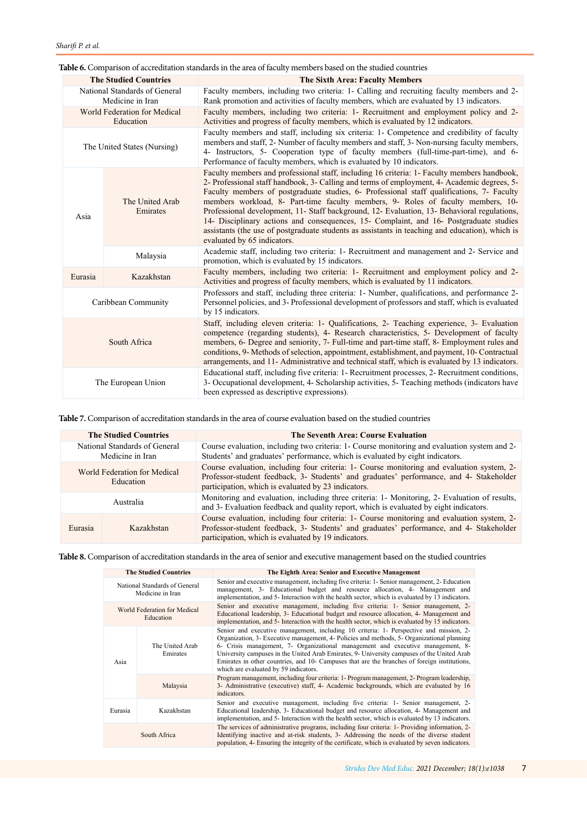<span id="page-6-0"></span>

|                                                   | <b>The Studied Countries</b> | <b>The Sixth Area: Faculty Members</b>                                                                                                                                                                                                                                                                                                                                                                                                                                                                                                                                                                                                                                                                 |
|---------------------------------------------------|------------------------------|--------------------------------------------------------------------------------------------------------------------------------------------------------------------------------------------------------------------------------------------------------------------------------------------------------------------------------------------------------------------------------------------------------------------------------------------------------------------------------------------------------------------------------------------------------------------------------------------------------------------------------------------------------------------------------------------------------|
| National Standards of General<br>Medicine in Iran |                              | Faculty members, including two criteria: 1- Calling and recruiting faculty members and 2-<br>Rank promotion and activities of faculty members, which are evaluated by 13 indicators.                                                                                                                                                                                                                                                                                                                                                                                                                                                                                                                   |
| World Federation for Medical<br>Education         |                              | Faculty members, including two criteria: 1- Recruitment and employment policy and 2-<br>Activities and progress of faculty members, which is evaluated by 12 indicators.                                                                                                                                                                                                                                                                                                                                                                                                                                                                                                                               |
| The United States (Nursing)                       |                              | Faculty members and staff, including six criteria: 1- Competence and credibility of faculty<br>members and staff, 2- Number of faculty members and staff, 3- Non-nursing faculty members,<br>4- Instructors, 5- Cooperation type of faculty members (full-time-part-time), and 6-<br>Performance of faculty members, which is evaluated by 10 indicators.                                                                                                                                                                                                                                                                                                                                              |
| Asia                                              | The United Arab<br>Emirates  | Faculty members and professional staff, including 16 criteria: 1- Faculty members handbook,<br>2- Professional staff handbook, 3- Calling and terms of employment, 4- Academic degrees, 5-<br>Faculty members of postgraduate studies, 6- Professional staff qualifications, 7- Faculty<br>members workload, 8- Part-time faculty members, 9- Roles of faculty members, 10-<br>Professional development, 11- Staff background, 12- Evaluation, 13- Behavioral regulations,<br>14- Disciplinary actions and consequences, 15- Complaint, and 16- Postgraduate studies<br>assistants (the use of postgraduate students as assistants in teaching and education), which is<br>evaluated by 65 indicators. |
|                                                   | Malaysia                     | Academic staff, including two criteria: 1- Recruitment and management and 2- Service and<br>promotion, which is evaluated by 15 indicators.                                                                                                                                                                                                                                                                                                                                                                                                                                                                                                                                                            |
| Eurasia                                           | Kazakhstan                   | Faculty members, including two criteria: 1- Recruitment and employment policy and 2-<br>Activities and progress of faculty members, which is evaluated by 11 indicators.                                                                                                                                                                                                                                                                                                                                                                                                                                                                                                                               |
| Caribbean Community                               |                              | Professors and staff, including three criteria: 1- Number, qualifications, and performance 2-<br>Personnel policies, and 3- Professional development of professors and staff, which is evaluated<br>by 15 indicators.                                                                                                                                                                                                                                                                                                                                                                                                                                                                                  |
| South Africa                                      |                              | Staff, including eleven criteria: 1- Qualifications, 2- Teaching experience, 3- Evaluation<br>competence (regarding students), 4- Research characteristics, 5- Development of faculty<br>members, 6- Degree and seniority, 7- Full-time and part-time staff, 8- Employment rules and<br>conditions, 9- Methods of selection, appointment, establishment, and payment, 10- Contractual<br>arrangements, and 11- Administrative and technical staff, which is evaluated by 13 indicators.                                                                                                                                                                                                                |
| The European Union                                |                              | Educational staff, including five criteria: 1- Recruitment processes, 2- Recruitment conditions,<br>3- Occupational development, 4- Scholarship activities, 5- Teaching methods (indicators have<br>been expressed as descriptive expressions).                                                                                                                                                                                                                                                                                                                                                                                                                                                        |

**Table 7.** Comparison of accreditation standards in the area of course evaluation based on the studied countries

| <b>The Studied Countries</b>                      |            | <b>The Seventh Area: Course Evaluation</b>                                                                                                                                                                                                   |
|---------------------------------------------------|------------|----------------------------------------------------------------------------------------------------------------------------------------------------------------------------------------------------------------------------------------------|
| National Standards of General<br>Medicine in Iran |            | Course evaluation, including two criteria: 1- Course monitoring and evaluation system and 2-<br>Students' and graduates' performance, which is evaluated by eight indicators.                                                                |
| World Federation for Medical<br>Education         |            | Course evaluation, including four criteria: 1- Course monitoring and evaluation system, 2-<br>Professor-student feedback, 3- Students' and graduates' performance, and 4- Stakeholder<br>participation, which is evaluated by 23 indicators. |
| Australia                                         |            | Monitoring and evaluation, including three criteria: 1- Monitoring, 2- Evaluation of results,<br>and 3- Evaluation feedback and quality report, which is evaluated by eight indicators.                                                      |
| Eurasia                                           | Kazakhstan | Course evaluation, including four criteria: 1- Course monitoring and evaluation system, 2-<br>Professor-student feedback, 3- Students' and graduates' performance, and 4- Stakeholder<br>participation, which is evaluated by 19 indicators. |

**Table 8.** Comparison of accreditation standards in the area of senior and executive management based on the studied countries

| <b>The Studied Countries</b>                      |                             | The Eighth Area: Senior and Executive Management                                                                                                                                                                                                                                                                                                                                                                                                                                                               |
|---------------------------------------------------|-----------------------------|----------------------------------------------------------------------------------------------------------------------------------------------------------------------------------------------------------------------------------------------------------------------------------------------------------------------------------------------------------------------------------------------------------------------------------------------------------------------------------------------------------------|
| National Standards of General<br>Medicine in Iran |                             | Senior and executive management, including five criteria: 1- Senior management, 2- Education<br>management, 3- Educational budget and resource allocation, 4- Management and<br>implementation, and 5- Interaction with the health sector, which is evaluated by 13 indicators.                                                                                                                                                                                                                                |
| World Federation for Medical<br>Education         |                             | Senior and executive management, including five criteria: 1- Senior management, 2-<br>Educational leadership, 3- Educational budget and resource allocation, 4- Management and<br>implementation, and 5- Interaction with the health sector, which is evaluated by 15 indicators.                                                                                                                                                                                                                              |
| Asia                                              | The United Arab<br>Emirates | Senior and executive management, including 10 criteria: 1- Perspective and mission, 2-<br>Organization, 3- Executive management, 4- Policies and methods, 5- Organizational planning<br>6- Crisis management, 7- Organizational management and executive management, 8-<br>University campuses in the United Arab Emirates, 9- University campuses of the United Arab<br>Emirates in other countries, and 10- Campuses that are the branches of foreign institutions,<br>which are evaluated by 59 indicators. |
|                                                   | Malaysia                    | Program management, including four criteria: 1- Program management, 2- Program leadership,<br>3- Administrative (executive) staff, 4- Academic backgrounds, which are evaluated by 16<br>indicators.                                                                                                                                                                                                                                                                                                           |
| Eurasia                                           | Kazakhstan                  | Senior and executive management, including five criteria: 1- Senior management, 2-<br>Educational leadership, 3- Educational budget and resource allocation, 4- Management and<br>implementation, and 5- Interaction with the health sector, which is evaluated by 13 indicators.                                                                                                                                                                                                                              |
| South Africa                                      |                             | The services of administrative programs, including four criteria: 1- Providing information, 2-<br>Identifying inactive and at-risk students, 3- Addressing the needs of the diverse student<br>population, 4- Ensuring the integrity of the certificate, which is evaluated by seven indicators.                                                                                                                                                                                                               |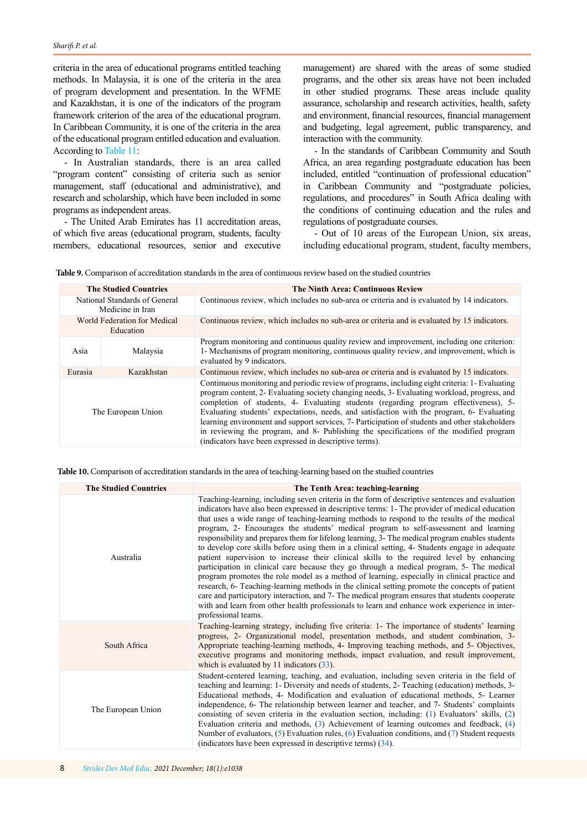<span id="page-7-0"></span>criteria in the area of educational programs entitled teaching methods. In Malaysia, it is one of the criteria in the area of program development and presentation. In the WFME and Kazakhstan, it is one of the indicators of the program framework criterion of the area of the educational program. In Caribbean Community, it is one of the criteria in the area of the educational program entitled education and evaluation. According to [Table 11:](#page-8-0)

- In Australian standards, there is an area called "program content" consisting of criteria such as senior management, staff (educational and administrative), and research and scholarship, which have been included in some programs as independent areas.

- The United Arab Emirates has 11 accreditation areas, of which five areas (educational program, students, faculty members, educational resources, senior and executive management) are shared with the areas of some studied programs, and the other six areas have not been included in other studied programs. These areas include quality assurance, scholarship and research activities, health, safety and environment, financial resources, financial management and budgeting, legal agreement, public transparency, and interaction with the community.

- In the standards of Caribbean Community and South Africa, an area regarding postgraduate education has been included, entitled "continuation of professional education" in Caribbean Community and "postgraduate policies, regulations, and procedures" in South Africa dealing with the conditions of continuing education and the rules and regulations of postgraduate courses.

- Out of 10 areas of the European Union, six areas, including educational program, student, faculty members,

**Table 9.** Comparison of accreditation standards in the area of continuous review based on the studied countries

| <b>The Studied Countries</b>                      |            | <b>The Ninth Area: Continuous Review</b>                                                                                                                                                                                                                                                                                                                                                                                                                                                                                                                                                                                                   |
|---------------------------------------------------|------------|--------------------------------------------------------------------------------------------------------------------------------------------------------------------------------------------------------------------------------------------------------------------------------------------------------------------------------------------------------------------------------------------------------------------------------------------------------------------------------------------------------------------------------------------------------------------------------------------------------------------------------------------|
| National Standards of General<br>Medicine in Iran |            | Continuous review, which includes no sub-area or criteria and is evaluated by 14 indicators.                                                                                                                                                                                                                                                                                                                                                                                                                                                                                                                                               |
| World Federation for Medical<br>Education         |            | Continuous review, which includes no sub-area or criteria and is evaluated by 15 indicators.                                                                                                                                                                                                                                                                                                                                                                                                                                                                                                                                               |
| Asia                                              | Malaysia   | Program monitoring and continuous quality review and improvement, including one criterion:<br>1- Mechanisms of program monitoring, continuous quality review, and improvement, which is<br>evaluated by 9 indicators.                                                                                                                                                                                                                                                                                                                                                                                                                      |
| Eurasia                                           | Kazakhstan | Continuous review, which includes no sub-area or criteria and is evaluated by 15 indicators.                                                                                                                                                                                                                                                                                                                                                                                                                                                                                                                                               |
| The European Union                                |            | Continuous monitoring and periodic review of programs, including eight criteria: 1- Evaluating<br>program content, 2- Evaluating society changing needs, 3- Evaluating workload, progress, and<br>completion of students, 4- Evaluating students (regarding program effectiveness), 5-<br>Evaluating students' expectations, needs, and satisfaction with the program, 6- Evaluating<br>learning environment and support services, 7- Participation of students and other stakeholders<br>in reviewing the program, and 8- Publishing the specifications of the modified program<br>(indicators have been expressed in descriptive terms). |

**Table 10.** Comparison of accreditation standards in the area of teaching-learning based on the studied countries

| <b>The Studied Countries</b> | The Tenth Area: teaching-learning                                                                                                                                                                                                                                                                                                                                                                                                                                                                                                                                                                                                                                                                                                                                                                                                                                                                                                                                                                                                                                                                                                                                                                                  |
|------------------------------|--------------------------------------------------------------------------------------------------------------------------------------------------------------------------------------------------------------------------------------------------------------------------------------------------------------------------------------------------------------------------------------------------------------------------------------------------------------------------------------------------------------------------------------------------------------------------------------------------------------------------------------------------------------------------------------------------------------------------------------------------------------------------------------------------------------------------------------------------------------------------------------------------------------------------------------------------------------------------------------------------------------------------------------------------------------------------------------------------------------------------------------------------------------------------------------------------------------------|
| Australia                    | Teaching-learning, including seven criteria in the form of descriptive sentences and evaluation<br>indicators have also been expressed in descriptive terms: 1- The provider of medical education<br>that uses a wide range of teaching-learning methods to respond to the results of the medical<br>program, 2- Encourages the students' medical program to self-assessment and learning<br>responsibility and prepares them for lifelong learning, 3- The medical program enables students<br>to develop core skills before using them in a clinical setting, 4- Students engage in adequate<br>patient supervision to increase their clinical skills to the required level by enhancing<br>participation in clinical care because they go through a medical program, 5- The medical<br>program promotes the role model as a method of learning, especially in clinical practice and<br>research, 6- Teaching-learning methods in the clinical setting promote the concepts of patient<br>care and participatory interaction, and 7- The medical program ensures that students cooperate<br>with and learn from other health professionals to learn and enhance work experience in inter-<br>professional teams. |
| South Africa                 | Teaching-learning strategy, including five criteria: 1- The importance of students' learning<br>progress, 2- Organizational model, presentation methods, and student combination, 3-<br>Appropriate teaching-learning methods, 4- Improving teaching methods, and 5- Objectives,<br>executive programs and monitoring methods, impact evaluation, and result improvement,<br>which is evaluated by $11$ indicators $(33)$ .                                                                                                                                                                                                                                                                                                                                                                                                                                                                                                                                                                                                                                                                                                                                                                                        |
| The European Union           | Student-centered learning, teaching, and evaluation, including seven criteria in the field of<br>teaching and learning: 1- Diversity and needs of students, 2- Teaching (education) methods, 3-<br>Educational methods, 4- Modification and evaluation of educational methods, 5- Learner<br>independence, 6- The relationship between learner and teacher, and 7- Students' complaints<br>consisting of seven criteria in the evaluation section, including: $(1)$ Evaluators' skills, $(2)$<br>Evaluation criteria and methods, $(3)$ Achievement of learning outcomes and feedback, $(4)$<br>Number of evaluators, $(5)$ Evaluation rules, $(6)$ Evaluation conditions, and $(7)$ Student requests<br>(indicators have been expressed in descriptive terms) $(34)$ .                                                                                                                                                                                                                                                                                                                                                                                                                                            |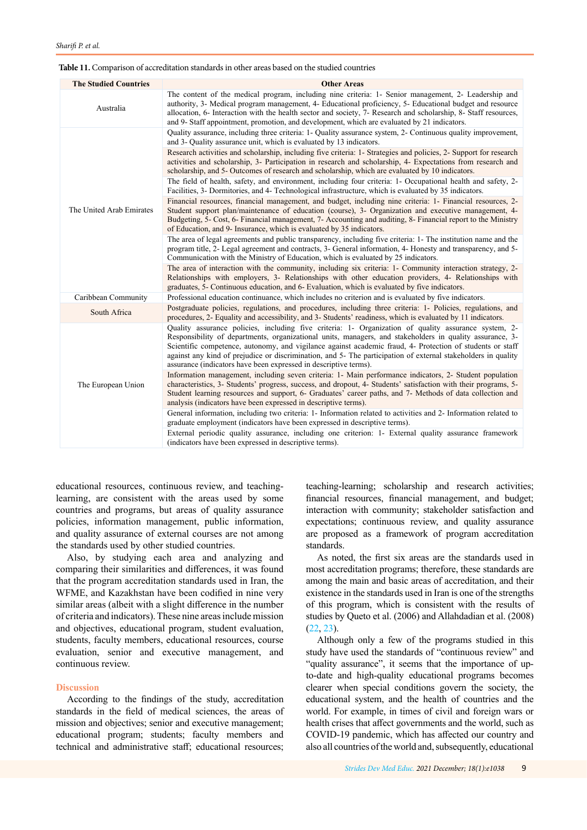#### <span id="page-8-0"></span>**Table 11.** Comparison of accreditation standards in other areas based on the studied countries

| <b>The Studied Countries</b> | <b>Other Areas</b>                                                                                                                                                                                                                                                                                                                                                                                                                                                                                                 |
|------------------------------|--------------------------------------------------------------------------------------------------------------------------------------------------------------------------------------------------------------------------------------------------------------------------------------------------------------------------------------------------------------------------------------------------------------------------------------------------------------------------------------------------------------------|
| Australia                    | The content of the medical program, including nine criteria: 1- Senior management, 2- Leadership and<br>authority, 3- Medical program management, 4- Educational proficiency, 5- Educational budget and resource<br>allocation, 6- Interaction with the health sector and society, 7- Research and scholarship, 8- Staff resources,<br>and 9- Staff appointment, promotion, and development, which are evaluated by 21 indicators.                                                                                 |
| The United Arab Emirates     | Quality assurance, including three criteria: 1- Quality assurance system, 2- Continuous quality improvement,<br>and 3- Quality assurance unit, which is evaluated by 13 indicators.                                                                                                                                                                                                                                                                                                                                |
|                              | Research activities and scholarship, including five criteria: 1- Strategies and policies, 2- Support for research<br>activities and scholarship, 3- Participation in research and scholarship, 4- Expectations from research and<br>scholarship, and 5- Outcomes of research and scholarship, which are evaluated by 10 indicators.                                                                                                                                                                                |
|                              | The field of health, safety, and environment, including four criteria: 1- Occupational health and safety, 2-<br>Facilities, 3- Dormitories, and 4- Technological infrastructure, which is evaluated by 35 indicators.                                                                                                                                                                                                                                                                                              |
|                              | Financial resources, financial management, and budget, including nine criteria: 1- Financial resources, 2-<br>Student support plan/maintenance of education (course), 3- Organization and executive management, 4-<br>Budgeting, 5- Cost, 6- Financial management, 7- Accounting and auditing, 8- Financial report to the Ministry<br>of Education, and 9- Insurance, which is evaluated by 35 indicators.                                                                                                         |
|                              | The area of legal agreements and public transparency, including five criteria: 1- The institution name and the<br>program title, 2- Legal agreement and contracts, 3- General information, 4- Honesty and transparency, and 5-<br>Communication with the Ministry of Education, which is evaluated by 25 indicators.                                                                                                                                                                                               |
|                              | The area of interaction with the community, including six criteria: 1- Community interaction strategy, 2-<br>Relationships with employers, 3- Relationships with other education providers, 4- Relationships with<br>graduates, 5- Continuous education, and 6- Evaluation, which is evaluated by five indicators.                                                                                                                                                                                                 |
| Caribbean Community          | Professional education continuance, which includes no criterion and is evaluated by five indicators.                                                                                                                                                                                                                                                                                                                                                                                                               |
| South Africa                 | Postgraduate policies, regulations, and procedures, including three criteria: 1- Policies, regulations, and<br>procedures, 2- Equality and accessibility, and 3- Students' readiness, which is evaluated by 11 indicators.                                                                                                                                                                                                                                                                                         |
| The European Union           | Quality assurance policies, including five criteria: 1- Organization of quality assurance system, 2-<br>Responsibility of departments, organizational units, managers, and stakeholders in quality assurance, 3-<br>Scientific competence, autonomy, and vigilance against academic fraud, 4- Protection of students or staff<br>against any kind of prejudice or discrimination, and 5- The participation of external stakeholders in quality<br>assurance (indicators have been expressed in descriptive terms). |
|                              | Information management, including seven criteria: 1- Main performance indicators, 2- Student population<br>characteristics, 3- Students' progress, success, and dropout, 4- Students' satisfaction with their programs, 5-<br>Student learning resources and support, 6- Graduates' career paths, and 7- Methods of data collection and<br>analysis (indicators have been expressed in descriptive terms).                                                                                                         |
|                              | General information, including two criteria: 1- Information related to activities and 2- Information related to<br>graduate employment (indicators have been expressed in descriptive terms).                                                                                                                                                                                                                                                                                                                      |
|                              | External periodic quality assurance, including one criterion: 1- External quality assurance framework<br>(indicators have been expressed in descriptive terms).                                                                                                                                                                                                                                                                                                                                                    |

educational resources, continuous review, and teachinglearning, are consistent with the areas used by some countries and programs, but areas of quality assurance policies, information management, public information, and quality assurance of external courses are not among the standards used by other studied countries.

Also, by studying each area and analyzing and comparing their similarities and differences, it was found that the program accreditation standards used in Iran, the WFME, and Kazakhstan have been codified in nine very similar areas (albeit with a slight difference in the number of criteria and indicators). These nine areas include mission and objectives, educational program, student evaluation, students, faculty members, educational resources, course evaluation, senior and executive management, and continuous review.

## **Discussion**

According to the findings of the study, accreditation standards in the field of medical sciences, the areas of mission and objectives; senior and executive management; educational program; students; faculty members and technical and administrative staff; educational resources;

teaching-learning; scholarship and research activities; financial resources, financial management, and budget; interaction with community; stakeholder satisfaction and expectations; continuous review, and quality assurance are proposed as a framework of program accreditation standards.

As noted, the first six areas are the standards used in most accreditation programs; therefore, these standards are among the main and basic areas of accreditation, and their existence in the standards used in Iran is one of the strengths of this program, which is consistent with the results of studies by Queto et al. (2006) and Allahdadian et al. (2008) ([22](#page-10-0), [23](#page-10-0)).

Although only a few of the programs studied in this study have used the standards of "continuous review" and "quality assurance", it seems that the importance of upto-date and high-quality educational programs becomes clearer when special conditions govern the society, the educational system, and the health of countries and the world. For example, in times of civil and foreign wars or health crises that affect governments and the world, such as COVID-19 pandemic, which has affected our country and also all countries of the world and, subsequently, educational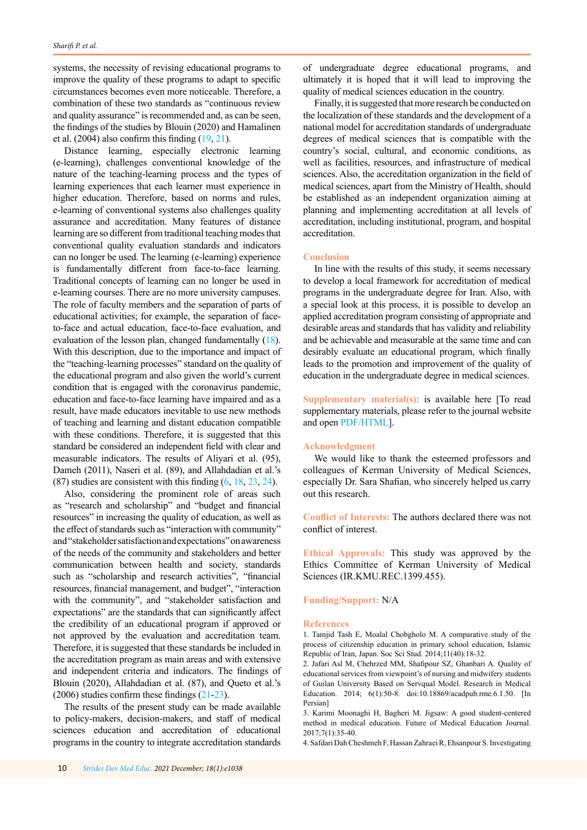<span id="page-9-0"></span>systems, the necessity of revising educational programs to improve the quality of these programs to adapt to specific circumstances becomes even more noticeable. Therefore, a combination of these two standards as "continuous review and quality assurance" is recommended and, as can be seen, the findings of the studies by Blouin (2020) and Hamalinen et al.  $(2004)$  also confirm this finding  $(19, 21)$  $(19, 21)$  $(19, 21)$  $(19, 21)$ .

Distance learning, especially electronic learning (e-learning), challenges conventional knowledge of the nature of the teaching-learning process and the types of learning experiences that each learner must experience in higher education. Therefore, based on norms and rules, e-learning of conventional systems also challenges quality assurance and accreditation. Many features of distance learning are so different from traditional teaching modes that conventional quality evaluation standards and indicators can no longer be used. The learning (e-learning) experience is fundamentally different from face-to-face learning. Traditional concepts of learning can no longer be used in e-learning courses. There are no more university campuses. The role of faculty members and the separation of parts of educational activities; for example, the separation of faceto-face and actual education, face-to-face evaluation, and evaluation of the lesson plan, changed fundamentally [\(18](#page-10-0)). With this description, due to the importance and impact of the "teaching-learning processes" standard on the quality of the educational program and also given the world's current condition that is engaged with the coronavirus pandemic, education and face-to-face learning have impaired and as a result, have made educators inevitable to use new methods of teaching and learning and distant education compatible with these conditions. Therefore, it is suggested that this standard be considered an independent field with clear and measurable indicators. The results of Aliyari et al. (95), Dameh (2011), Naseri et al. (89), and Allahdadian et al.'s (87) studies are consistent with this finding ([6](#page-10-0), [18,](#page-10-0) [23](#page-10-0), [24\)](#page-10-0).

Also, considering the prominent role of areas such as "research and scholarship" and "budget and financial resources" in increasing the quality of education, as well as the effect of standards such as "interaction with community" and "stakeholder satisfaction and expectations" on awareness of the needs of the community and stakeholders and better communication between health and society, standards such as "scholarship and research activities", "financial resources, financial management, and budget", "interaction with the community", and "stakeholder satisfaction and expectations" are the standards that can significantly affect the credibility of an educational program if approved or not approved by the evaluation and accreditation team. Therefore, it is suggested that these standards be included in the accreditation program as main areas and with extensive and independent criteria and indicators. The findings of Blouin (2020), Allahdadian et al. (87), and Queto et al.'s (2006) studies confirm these findings ([21-23](#page-10-0)).

The results of the present study can be made available to policy-makers, decision-makers, and staff of medical sciences education and accreditation of educational programs in the country to integrate accreditation standards of undergraduate degree educational programs, and ultimately it is hoped that it will lead to improving the quality of medical sciences education in the country.

Finally, it is suggested that more research be conducted on the localization of these standards and the development of a national model for accreditation standards of undergraduate degrees of medical sciences that is compatible with the country's social, cultural, and economic conditions, as well as facilities, resources, and infrastructure of medical sciences. Also, the accreditation organization in the field of medical sciences, apart from the Ministry of Health, should be established as an independent organization aiming at planning and implementing accreditation at all levels of accreditation, including institutional, program, and hospital accreditation.

### **Conclusion**

In line with the results of this study, it seems necessary to develop a local framework for accreditation of medical programs in the undergraduate degree for Iran. Also, with a special look at this process, it is possible to develop an applied accreditation program consisting of appropriate and desirable areas and standards that has validity and reliability and be achievable and measurable at the same time and can desirably evaluate an educational program, which finally leads to the promotion and improvement of the quality of education in the undergraduate degree in medical sciences.

**Supplementary material(s):** is available here [To read supplementary materials, please refer to the journal website and ope[n PDF/HTML\]](http://sdme.kmu.ac.ir/jufile?ar_sfile=815053).

# **Acknowledgment**

We would like to thank the esteemed professors and colleagues of Kerman University of Medical Sciences, especially Dr. Sara Shafian, who sincerely helped us carry out this research.

**Conflict of Interests:** The authors declared there was not conflict of interest.

**Ethical Approvals:** This study was approved by the Ethics Committee of Kerman University of Medical Sciences (IR.KMU.REC.1399.455).

## **Funding/Support:** N/A

#### **References**

1. Tamjid Tash E, Moalal Chobgholo M. A comparative study of the process of citizenship education in primary school education, Islamic Republic of Iran, Japan. Soc Sci Stud. 2014;11(40):18-32.

2. Jafari Asl M, Chehrzed MM, Shafipour SZ, Ghanbari A. Quality of educational services from viewpoint's of nursing and midwifery students of Guilan University Based on Servqual Model. Research in Medical Education. 2014; 6(1):50-8. doi:10.18869/acadpub.rme.6.1.50. [In Persian]

3. Karimi Moonaghi H, Bagheri M. Jigsaw: A good student-centered method in medical education. Future of Medical Education Journal. 2017;7(1):35-40.

4. Safdari Dah Cheshmeh F, Hassan Zahraei R, Ehsanpour S. Investigating